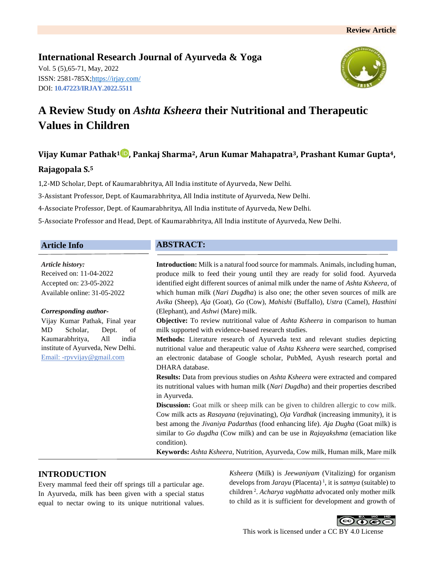# **International Research Journal of Ayurveda & Yoga** Vol. 5 (5),65-71, May, 2022 ISSN: 2581-785X; https:/[/irjay.com/](https://irjay.com/) DOI: **10.47223/IRJAY.2022.5511**



# **A Review Study on** *Ashta Ksheera* **their Nutritional and Therapeutic Values in Children**

# **Vijay Kumar Pathak<sup>1</sup> , Pankaj Sharma2, Arun Kumar Mahapatra3, Prashant Kumar Gupta4,**

## **Rajagopala S.<sup>5</sup>**

1,2-MD Scholar, Dept. of Kaumarabhritya, All India institute of Ayurveda, New Delhi.

3-Assistant Professor, Dept. of Kaumarabhritya, All India institute of Ayurveda, New Delhi.

4-Associate Professor, Dept. of Kaumarabhritya, All India institute of Ayurveda, New Delhi.

5-Associate Professor and Head, Dept. of Kaumarabhritya, All India institute of Ayurveda, New Delhi.

## **Article Info**

*Article history:*

Received on: 11-04-2022 Accepted on: 23-05-2022 Available online: 31-05-2022

#### *Corresponding author-*

Vijay Kumar Pathak, Final year MD Scholar, Dept. of Kaumarabhritya, All india institute of Ayurveda, New Delhi. Email: -rpvvijay@gmail.com

# **ABSTRACT:**

**Introduction:** Milk is a natural food source for mammals. Animals, including human, produce milk to feed their young until they are ready for solid food. Ayurveda identified eight different sources of animal milk under the name of *Ashta Ksheera*, of which human milk (*Nari Dugdha*) is also one; the other seven sources of milk are *Avika* (Sheep), *Aja* (Goat), *Go* (Cow), *Mahishi* (Buffallo), *Ustra* (Camel), *Hasthini* (Elephant), and *Ashwi* (Mare) milk.

**Objective:** To review nutritional value of *Ashta Ksheera* in comparison to human milk supported with evidence-based research studies.

**Methods:** Literature research of Ayurveda text and relevant studies depicting nutritional value and therapeutic value of *Ashta Ksheera* were searched, comprised an electronic database of Google scholar, PubMed, Ayush research portal and DHARA database.

**Results:** Data from previous studies on *Ashta Ksheera* were extracted and compared its nutritional values with human milk (*Nari Dugdha*) and their properties described in Ayurveda.

**Discussion:** Goat milk or sheep milk can be given to children allergic to cow milk. Cow milk acts as *Rasayana* (rejuvinating), *Oja Vardhak* (increasing immunity), it is best among the *Jivaniya Padarthas* (food enhancing life). *Aja Dugha* (Goat milk) is similar to *Go dugdha* (Cow milk) and can be use in *Rajayakshma* (emaciation like condition).

**Keywords:** *Ashta Ksheera*, Nutrition, Ayurveda, Cow milk, Human milk, Mare milk

## **INTRODUCTION**

Every mammal feed their off springs till a particular age. In Ayurveda, milk has been given with a special status equal to nectar owing to its unique nutritional values.

*Ksheera* (Milk) is *Jeewaniyam* (Vitalizing) for organism develops from *Jarayu* (Placenta) <sup>1</sup> , it is *satmya* (suitable) to children <sup>2</sup> . *Acharya vagbhatta* advocated only mother milk to child as it is sufficient for development and growth of

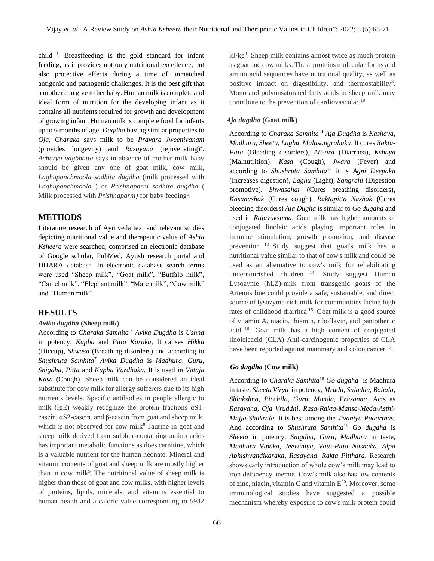child <sup>3</sup>. Breastfeeding is the gold standard for infant feeding, as it provides not only nutritional excellence, but also protective effects during a time of unmatched antigenic and pathogenic challenges. It is the best gift that a mother can give to her baby. Human milk is complete and ideal form of nutrition for the developing infant as it contains all nutrients required for growth and development of growing infant. Human milk is complete food for infants up to 6 months of age. *Dugdha* having similar properties to *Oja, Charaka* says milk to be *Pravara Jweeniyanam* (provides longevity) and *Rasayana* (rejuvenating)<sup>4</sup>. *Acharya vagbhatta* says in absence of mother milk baby should be given any one of goat milk, cow milk, *Laghupanchmoola sadhita dugdha* (milk processed with *Laghupanchmoola* ) or *Prishnaparni sadhita dugdha* ( Milk processed with *Prishnaparni*) for baby feeding<sup>5</sup>.

## **METHODS**

Literature research of Ayurveda text and relevant studies depicting nutritional value and therapeutic value of *Ashta Ksheera* were searched, comprised an electronic database of Google scholar, PubMed, Ayush research portal and DHARA database. In electronic database search terms were used "Sheep milk", "Goat milk", "Buffalo milk", "Camel milk", "Elephant milk", "Mare milk", "Cow milk" and "Human milk".

## **RESULTS**

## *Avika dugdha* **(Sheep milk)**

According to *Charaka Samhita* <sup>6</sup> *Avika Dugdha* is *Ushna* in potency, *Kapha* and *Pitta Karaka*, It causes *Hikka* (Hiccup)*, Shwasa* (Breathing disorders) and according to *Shushruta Samhita*<sup>7</sup> *Avika Dugdha* is *Madhura, Guru, Snigdha, Pitta* and *Kapha Vardhaka.* It is used in *Vataja Kasa* (Cough). Sheep milk can be considered an ideal substitute for cow milk for allergy sufferers due to its high nutrients levels. Specific antibodies in people allergic to milk (IgE) weakly recognize the protein fractions  $\alpha$ S1casein, αS2‐casein, and β‐casein from goat and sheep milk, which is not observed for cow milk $\delta$ Taurine in goat and sheep milk derived from sulphur-containing amino acids has important metabolic functions as does carnitine, which is a valuable nutrient for the human neonate. Mineral and vitamin contents of goat and sheep milk are mostly higher than in cow milk<sup>9</sup>. The nutritional value of sheep milk is higher than those of goat and cow milks, with higher levels of proteins, lipids, minerals, and vitamins essential to human health and a caloric value corresponding to 5932

66

kJ/kg<sup>8</sup>. Sheep milk contains almost twice as much protein as goat and cow milks. These proteins molecular forms and amino acid sequences have nutritional quality, as well as positive impact on digestibility, and thermostability<sup>8</sup>. Mono and polyunsaturated fatty acids in sheep milk may contribute to the prevention of cardiovascular.<sup>10</sup>

#### *Aja dugdha* **(Goat milk)**

According to *Charaka Samhita*<sup>11</sup> *Aja Dugdha* is *Kashaya, Madhura, Sheeta, Laghu, Malasangrahaka*. It cures *Rakta-Pitta* (Bleeding disorders)*, Atisara* (Diarrhea)*, Kshaya*  (Malnutrition)*, Kasa* (Cough)*, Jwara* (Fever) and according to *Shushruta Samhita*<sup>12</sup> it is *Agni Deepaka*  (Increases digestion)*, Laghu* (Light)*, Sangrahi* (Digestion promotive)*. Shwasahar* (Cures breathing disorders)*, Kasanashak* (Cures cough)*, Raktapitta Nashak* (Cures bleeding disorders) *Aja Dugha* is similar to *Go dugdha* and used in *Rajayakshma*. Goat milk has higher amounts of conjugated linoleic acids playing important roles in immune stimulation, growth promotion, and disease prevention <sup>13</sup>. Study suggest that goat's milk has a nutritional value similar to that of cow's milk and could be used as an alternative to cow's milk for rehabilitating undernourished children  $14$ . Study suggest Human Lysozyme (hLZ)-milk from transgenic goats of the Artemis line could provide a safe, sustainable, and direct source of lysozyme-rich milk for communities facing high rates of childhood diarrhea <sup>15</sup>. Goat milk is a good source of vitamin A, niacin, thiamin, riboflavin, and pantothenic acid <sup>16</sup>. Goat milk has a high content of conjugated linoleicacid (CLA) Anti-carcinogenic properties of CLA have been reported against mammary and colon cancer<sup>17</sup>.

#### *Go dugdha* **(Cow milk)**

According to *Charaka Samhita*<sup>18</sup> *Go dugdha* is Madhura in taste, *Sheeta Virya* in potency, *Mrudu, Snigdha, Bahala, Shlakshna, Picchila, Guru, Manda, Prasanna*. Acts as *Rasayana, Oja Vruddhi, Rasa-Rakta-Mansa-Meda-Asthi-Majja-Shukrala.* It is best among the *Jivaniya Padarthas*. And according to *Shushruta Samhita*<sup>19</sup> *Go dugdha* is *Sheeta* in potency, *Snigdha, Guru, Madhura* in taste, *Madhura Vipaka, Jeevaniya, Vata-Pitta Nashaka. Alpa Abhishyandikaraka, Rasayana, Rakta Pitthara*. Research shows early introduction of whole cow's milk may lead to iron deficiency anemia. Cow's milk also has low contents of zinc, niacin, vitamin C and vitamin  $E^{20}$ . Moreover, some immunological studies have suggested a possible mechanism whereby exposure to cow's milk protein could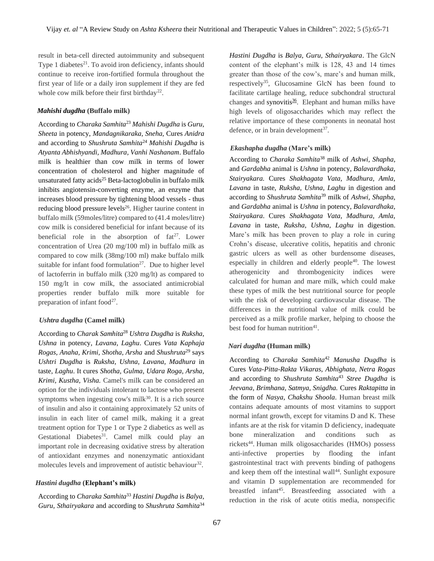result in beta-cell directed autoimmunity and subsequent Type 1 diabetes $^{21}$ . To avoid iron deficiency, infants should continue to receive iron-fortified formula throughout the first year of life or a daily iron supplement if they are fed whole cow milk before their first birthday<sup>22</sup>.

#### *Mahishi dugdha* **(Buffalo milk)**

According to *Charaka Samhita*<sup>23</sup> *Mahishi Dugdha* is *Guru, Sheeta* in potency, *Mandagnikaraka, Sneha,* Cures *Anidra* and according to *Shushruta Samhita*<sup>24</sup> *Mahishi Dugdha* is *Atyanta Abhishyandi, Madhura, Vanhi Nashanam*. Buffalo milk is healthier than cow milk in terms of lower concentration of cholesterol and higher magnitude of unsaturated fatty acids<sup>25</sup> Beta-lactoglobulin in buffalo milk inhibits angiotensin-converting enzyme, an enzyme that increases blood pressure by tightening blood vessels - thus reducing blood pressure levels<sup>26</sup>. Higher taurine content in buffalo milk (59moles/litre) compared to (41.4 moles/litre) cow milk is considered beneficial for infant because of its beneficial role in the absorption of  $fat^{27}$ . Lower concentration of Urea (20 mg/100 ml) in buffalo milk as compared to cow milk (38mg/100 ml) make buffalo milk suitable for infant food formulation $27$ . Due to higher level of lactoferrin in buffalo milk (320 mg/lt) as compared to 150 mg/lt in cow milk, the associated antimicrobial properties render buffalo milk more suitable for preparation of infant food $27$ .

#### *Ushtra dugdha* **(Camel milk)**

According to *Charak Samhita*<sup>28</sup> *Ushtra Dugdha* is *Ruksha, Ushna* in potency*, Lavana, Laghu*. Cures *Vata Kaphaja Rogas, Anaha, Krimi, Shotha, Arsha* and *Shushruta*<sup>29</sup> says *Ushtri Dugdha* is *Ruksha, Ushna, Lavana, Madhura* in taste, *Laghu*. It cures *Shotha, Gulma, Udara Roga, Arsha, Krimi, Kustha, Visha.* Camel's milk can be considered an option for the individuals intolerant to lactose who present symptoms when ingesting cow's milk $30$ . It is a rich source of insulin and also it containing approximately 52 units of insulin in each liter of camel milk, making it a great treatment option for Type 1 or Type 2 diabetics as well as Gestational Diabetes<sup>31</sup>. Camel milk could play an important role in decreasing oxidative stress by alteration of antioxidant enzymes and nonenzymatic antioxidant molecules levels and improvement of autistic behaviour<sup>32</sup>.

#### *Hastini dugdha* **(Elephant's milk)**

According to *Charaka Samhita*<sup>33</sup> *Hastini Dugdha* is *Balya, Guru, Sthairyakara* and according to *Shushruta Samhita*<sup>34</sup> *Hastini Dugdha* is *Balya, Guru, Sthairyakara*. The GlcN content of the elephant's milk is 128, 43 and 14 times greater than those of the cow's, mare's and human milk, respectively<sup>35</sup>, Glucosamine GlcN has been found to facilitate cartilage healing, reduce subchondral structural changes and synovitis<sup>36</sup>. Elephant and human milks have high levels of oligosaccharides which may reflect the relative importance of these components in neonatal host defence, or in brain development<sup>37</sup>.

## *Ekashapha dugdha* **(Mare's milk)**

According to *Charaka Samhita*<sup>38</sup> milk of *Ashwi, Shapha,* and *Gardabha* animal is *Ushna* in potency, *Balavardhaka, Stairyakara.* Cures *Shakhagata Vata, Madhura, Amla, Lavana* in taste, *Ruksha, Ushna, Laghu* in digestion and according to *Shushruta Samhita*<sup>39</sup> milk of *Ashwi, Shapha,* and *Gardabha* animal is *Ushna* in potency, *Balavardhaka, Stairyakara*. Cures *Shakhagata Vata, Madhura, Amla, Lavana* in taste, *Ruksha, Ushna, Laghu* in digestion. Mare's milk has been proven to play a role in curing Crohn's disease, ulcerative colitis, hepatitis and chronic gastric ulcers as well as other burdensome diseases, especially in children and elderly people $40$ . The lowest atherogenicity and thrombogenicity indices were calculated for human and mare milk, which could make these types of milk the best nutritional source for people with the risk of developing cardiovascular disease. The differences in the nutritional value of milk could be perceived as a milk profile marker, helping to choose the best food for human nutrition<sup>41</sup>.

#### *Nari dugdha* **(Human milk)**

According to *Charaka Samhita*<sup>42</sup> *Manusha Dugdha* is Cures *Vata-Pitta-Rakta Vikaras, Abhighata, Netra Rogas* and according to *Shushruta Samhita*<sup>43</sup> *Stree Dugdha* is *Jeevana, Brimhana, Satmya, Snigdha.* Cures *Raktapitta* in the form of *Nasya, Chakshu Shoola*. Human breast milk contains adequate amounts of most vitamins to support normal infant growth, except for vitamins D and K. These infants are at the risk for vitamin D deficiency, inadequate bone mineralization and conditions such as rickets<sup>44</sup>. Human milk oligosaccharides (HMOs) possess anti-infective properties by flooding the infant gastrointestinal tract with prevents binding of pathogens and keep them off the intestinal wall<sup>44</sup>. Sunlight exposure and vitamin D supplementation are recommended for breastfed infant<sup>45</sup>. Breastfeeding associated with a reduction in the risk of acute otitis media, nonspecific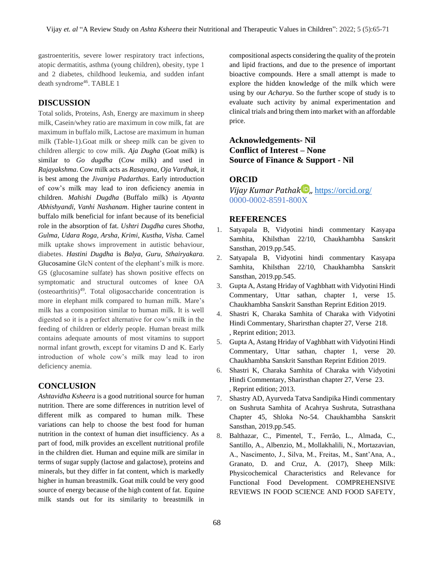gastroenteritis, severe lower respiratory tract infections, atopic dermatitis, asthma (young children), obesity, type 1 and 2 diabetes, childhood leukemia, and sudden infant death syndrome<sup>46</sup>. TABLE 1

## **DISCUSSION**

Total solids, Proteins, Ash, Energy are maximum in sheep milk, Casein/whey ratio are maximum in cow milk, fat are maximum in buffalo milk, Lactose are maximum in human milk (Table-1).Goat milk or sheep milk can be given to children allergic to cow milk. *Aja Dugha* (Goat milk) is similar to *Go dugdha* (Cow milk) and used in *Rajayakshma*. Cow milk acts as *Rasayana*, *Oja Vardhak*, it is best among the *Jivaniya Padarthas*. Early introduction of cow's milk may lead to iron deficiency anemia in children. *Mahishi Dugdha* (Buffalo milk) is *Atyanta Abhishyandi, Vanhi Nashanam*. Higher taurine content in buffalo milk beneficial for infant because of its beneficial role in the absorption of fat. *Ushtri Dugdha* cures *Shotha, Gulma, Udara Roga, Arsha, Krimi, Kustha, Visha.* Camel milk uptake shows improvement in autistic behaviour, diabetes. *Hastini Dugdha* is *Balya, Guru, Sthairyakara.* Glucosamine GlcN content of the elephant's milk is more. GS (glucosamine sulfate) has shown positive effects on symptomatic and structural outcomes of knee OA (osteoarthritis)<sup>49</sup>. Total oligosaccharide concentration is more in elephant milk compared to human milk. Mare's milk has a composition similar to human milk. It is well digested so it is a perfect alternative for cow's milk in the feeding of children or elderly people. Human breast milk contains adequate amounts of most vitamins to support normal infant growth, except for vitamins D and K. Early introduction of whole cow's milk may lead to iron deficiency anemia.

## **CONCLUSION**

*Ashtavidha Ksheera* is a good nutritional source for human nutrition. There are some differences in nutrition level of different milk as compared to human milk. These variations can help to choose the best food for human nutrition in the context of human diet insufficiency. As a part of food, milk provides an excellent nutritional profile in the children diet. Human and equine milk are similar in terms of sugar supply (lactose and galactose), proteins and minerals, but they differ in fat content, which is markedly higher in human breastmilk. Goat milk could be very good source of energy because of the high content of fat. Equine milk stands out for its similarity to breastmilk in compositional aspects considering the quality of the protein and lipid fractions, and due to the presence of important bioactive compounds. Here a small attempt is made to explore the hidden knowledge of the milk which were using by our *Acharya*. So the further scope of study is to evaluate such activity by animal experimentation and clinical trials and bring them into market with an affordable price.

# **Acknowledgements- Nil Conflict of Interest – None Source of Finance & Support - Nil**

## **ORCID**

*Vijay Kumar Pathak ,,* <https://orcid.org/> 0000-0002-8591-800X

## **REFERENCES**

- 1. Satyapala B, Vidyotini hindi commentary Kasyapa Samhita, Khilsthan 22/10, Chaukhambha Sanskrit Sansthan, 2019.pp.545.
- 2. Satyapala B, Vidyotini hindi commentary Kasyapa Samhita, Khilsthan 22/10, Chaukhambha Sanskrit Sansthan, 2019.pp.545.
- 3. Gupta A, Astang Hriday of Vaghbhatt with Vidyotini Hindi Commentary, Uttar sathan, chapter 1, verse 15. Chaukhambha Sanskrit Sansthan Reprint Edition 2019.
- 4. Shastri K, Charaka Samhita of Charaka with Vidyotini Hindi Commentary, Sharirsthan chapter 27, Verse 218. , Reprint edition; 2013.
- 5. Gupta A, Astang Hriday of Vaghbhatt with Vidyotini Hindi Commentary, Uttar sathan, chapter 1, verse 20. Chaukhambha Sanskrit Sansthan Reprint Edition 2019.
- 6. Shastri K, Charaka Samhita of Charaka with Vidyotini Hindi Commentary, Sharirsthan chapter 27, Verse 23. , Reprint edition; 2013.
- 7. Shastry AD, Ayurveda Tatva Sandipika Hindi commentary on Sushruta Samhita of Acahrya Sushruta, Sutrasthana Chapter 45, Shloka No-54. Chaukhambha Sanskrit Sansthan, 2019.pp.545.
- 8. Balthazar, C., Pimentel, T., Ferrão, L., Almada, C., Santillo, A., Albenzio, M., Mollakhalili, N., Mortazavian, A., Nascimento, J., Silva, M., Freitas, M., Sant'Ana, A., Granato, D. and Cruz, A. (2017), Sheep Milk: Physicochemical Characteristics and Relevance for Functional Food Development. COMPREHENSIVE REVIEWS IN FOOD SCIENCE AND FOOD SAFETY,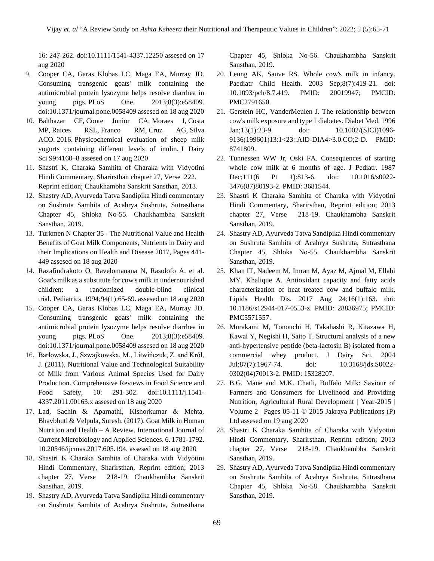16: 247-262. doi[:10.1111/1541-4337.12250](https://doi.org/10.1111/1541-4337.12250) assesed on 17 aug 2020

- 9. Cooper CA, Garas Klobas LC, Maga EA, Murray JD. Consuming transgenic goats' milk containing the antimicrobial protein lysozyme helps resolve diarrhea in young pigs. PLoS One. 2013;8(3):e58409. doi:10.1371/journal.pone.0058409 assesed on 18 aug 2020
- 10. Balthazar CF, Conte Junior CA, Moraes J, Costa MP, Raices RSL, Franco RM, Cruz AG, Silva ACO. 2016. Physicochemical evaluation of sheep milk yogurts containing different levels of inulin. J Dairy Sci 99:4160–8 assesed on 17 aug 2020
- 11. Shastri K, Charaka Samhita of Charaka with Vidyotini Hindi Commentary, Sharirsthan chapter 27, Verse 222. Reprint edition; Chaukhambha Sanskrit Sansthan, 2013.
- 12. Shastry AD, Ayurveda Tatva Sandipika Hindi commentary on Sushruta Samhita of Acahrya Sushruta, Sutrasthana Chapter 45, Shloka No-55. Chaukhambha Sanskrit Sansthan, 2019.
- 13. Turkmen N Chapter 35 The Nutritional Value and Health Benefits of Goat Milk Components, Nutrients in Dairy and their Implications on Health and Disease 2017, Pages 441- 449 assesed on 18 aug 2020
- 14. Razafindrakoto O, Ravelomanana N, Rasolofo A, et al. Goat's milk as a substitute for cow's milk in undernourished children: a randomized double-blind clinical trial. Pediatrics. 1994;94(1):65-69. assesed on 18 aug 2020
- 15. Cooper CA, Garas Klobas LC, Maga EA, Murray JD. Consuming transgenic goats' milk containing the antimicrobial protein lysozyme helps resolve diarrhea in young pigs. PLoS One. 2013;8(3):e58409. doi:10.1371/journal.pone.0058409 assesed on 18 aug 2020
- 16. Barłowska, J., Szwajkowska, M., Litwińczuk, Z. and Król, J. (2011), Nutritional Value and Technological Suitability of Milk from Various Animal Species Used for Dairy Production. Comprehensive Reviews in Food Science and Food Safety, 10: 291-302. doi[:10.1111/j.1541-](https://doi.org/10.1111/j.1541-4337.2011.00163.x) [4337.2011.00163.x](https://doi.org/10.1111/j.1541-4337.2011.00163.x) assesed on 18 aug 2020
- 17. Lad, Sachin & Aparnathi, Kishorkumar & Mehta, Bhavbhuti & Velpula, Suresh. (2017). Goat Milk in Human Nutrition and Health – A Review. International Journal of Current Microbiology and Applied Sciences. 6. 1781-1792. 10.20546/ijcmas.2017.605.194. assesed on 18 aug 2020
- 18. Shastri K Charaka Samhita of Charaka with Vidyotini Hindi Commentary, Sharirsthan, Reprint edition; 2013 chapter 27, Verse 218-19. Chaukhambha Sanskrit Sansthan, 2019.
- 19. Shastry AD, Ayurveda Tatva Sandipika Hindi commentary on Sushruta Samhita of Acahrya Sushruta, Sutrasthana

Chapter 45, Shloka No-56. Chaukhambha Sanskrit Sansthan, 2019.

- 20. Leung AK, Sauve RS. Whole cow's milk in infancy. Paediatr Child Health. 2003 Sep;8(7):419-21. doi: 10.1093/pch/8.7.419. PMID: 20019947; PMCID: PMC2791650.
- 21. Gerstein HC, VanderMeulen J. The relationship between cow's milk exposure and type 1 diabetes. Diabet Med. 1996 Jan;13(1):23-9. doi: 10.1002/(SICI)1096- 9136(199601)13:1<23::AID-DIA4>3.0.CO;2-D. PMID: 8741809.
- 22. Tunnessen WW Jr, Oski FA. Consequences of starting whole cow milk at 6 months of age. J Pediatr. 1987 Dec;111(6 Pt 1):813-6. doi: 10.1016/s0022- 3476(87)80193-2. PMID: 3681544.
- 23. Shastri K Charaka Samhita of Charaka with Vidyotini Hindi Commentary, Sharirsthan, Reprint edition; 2013 chapter 27, Verse 218-19. Chaukhambha Sanskrit Sansthan, 2019.
- 24. Shastry AD, Ayurveda Tatva Sandipika Hindi commentary on Sushruta Samhita of Acahrya Sushruta, Sutrasthana Chapter 45, Shloka No-55. Chaukhambha Sanskrit Sansthan, 2019.
- 25. Khan IT, Nadeem M, Imran M, Ayaz M, Ajmal M, Ellahi MY, Khalique A. Antioxidant capacity and fatty acids characterization of heat treated cow and buffalo milk. Lipids Health Dis. 2017 Aug 24;16(1):163. doi: 10.1186/s12944-017-0553-z. PMID: 28836975; PMCID: PMC5571557.
- 26. Murakami M, Tonouchi H, Takahashi R, Kitazawa H, Kawai Y, Negishi H, Saito T. Structural analysis of a new anti-hypertensive peptide (beta-lactosin B) isolated from a commercial whey product. J Dairy Sci. 2004 Jul;87(7):1967-74. doi: 10.3168/jds.S0022- 0302(04)70013-2. PMID: 15328207.
- 27. B.G. Mane and M.K. Chatli, Buffalo Milk: Saviour of Farmers and Consumers for Livelihood and Providing Nutrition, Agricultural Rural Development | Year-2015 | Volume 2 | Pages 05-11 © 2015 Jakraya Publications (P) Ltd assesed on 19 aug 2020
- 28. Shastri K Charaka Samhita of Charaka with Vidyotini Hindi Commentary, Sharirsthan, Reprint edition; 2013 chapter 27, Verse 218-19. Chaukhambha Sanskrit Sansthan, 2019.
- 29. Shastry AD, Ayurveda Tatva Sandipika Hindi commentary on Sushruta Samhita of Acahrya Sushruta, Sutrasthana Chapter 45, Shloka No-58. Chaukhambha Sanskrit Sansthan, 2019.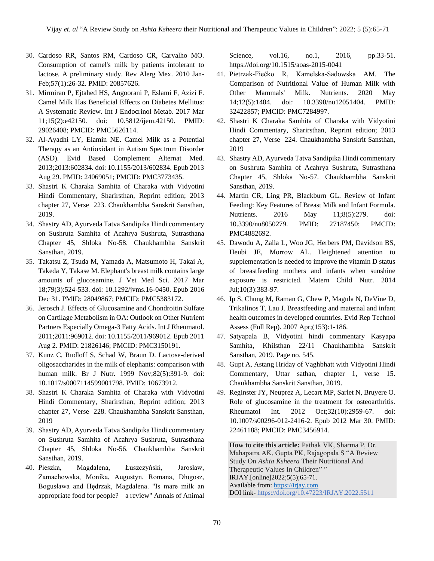- 30. Cardoso RR, Santos RM, Cardoso CR, Carvalho MO. Consumption of camel's milk by patients intolerant to lactose. A preliminary study. Rev Alerg Mex. 2010 Jan-Feb;57(1):26-32. PMID: 20857626.
- 31. Mirmiran P, Ejtahed HS, Angoorani P, Eslami F, Azizi F. Camel Milk Has Beneficial Effects on Diabetes Mellitus: A Systematic Review. Int J Endocrinol Metab. 2017 Mar 11;15(2):e42150. doi: 10.5812/ijem.42150. PMID: 29026408; PMCID: PMC5626114.
- 32. Al-Ayadhi LY, Elamin NE. Camel Milk as a Potential Therapy as an Antioxidant in Autism Spectrum Disorder (ASD). Evid Based Complement Alternat Med. 2013;2013:602834. doi: 10.1155/2013/602834. Epub 2013 Aug 29. PMID: 24069051; PMCID: PMC3773435.
- 33. Shastri K Charaka Samhita of Charaka with Vidyotini Hindi Commentary, Sharirsthan, Reprint edition; 2013 chapter 27, Verse 223. Chaukhambha Sanskrit Sansthan, 2019.
- 34. Shastry AD, Ayurveda Tatva Sandipika Hindi commentary on Sushruta Samhita of Acahrya Sushruta, Sutrasthana Chapter 45, Shloka No-58. Chaukhambha Sanskrit Sansthan, 2019.
- 35. Takatsu Z, Tsuda M, Yamada A, Matsumoto H, Takai A, Takeda Y, Takase M. Elephant's breast milk contains large amounts of glucosamine. J Vet Med Sci. 2017 Mar 18;79(3):524-533. doi: 10.1292/jvms.16-0450. Epub 2016 Dec 31. PMID: 28049867; PMCID: PMC5383172.
- 36. Jerosch J. Effects of Glucosamine and Chondroitin Sulfate on Cartilage Metabolism in OA: Outlook on Other Nutrient Partners Especially Omega-3 Fatty Acids. Int J Rheumatol. 2011;2011:969012. doi: 10.1155/2011/969012. Epub 2011 Aug 2. PMID: 21826146; PMCID: PMC3150191.
- 37. Kunz C, Rudloff S, Schad W, Braun D. Lactose-derived oligosaccharides in the milk of elephants: comparison with human milk. Br J Nutr. 1999 Nov;82(5):391-9. doi: 10.1017/s0007114599001798. PMID: 10673912.
- 38. Shastri K Charaka Samhita of Charaka with Vidyotini Hindi Commentary, Sharirsthan, Reprint edition; 2013 chapter 27, Verse 228. Chaukhambha Sanskrit Sansthan, 2019
- 39. Shastry AD, Ayurveda Tatva Sandipika Hindi commentary on Sushruta Samhita of Acahrya Sushruta, Sutrasthana Chapter 45, Shloka No-56. Chaukhambha Sanskrit Sansthan, 2019.
- 40. Pieszka, Magdalena, Łuszczyński, Jarosław, Zamachowska, Monika, Augustyn, Romana, Długosz, Bogusława and Hędrzak, Magdalena. "Is mare milk an appropriate food for people? – a review" Annals of Animal

Science, vol.16, no.1, 2016, pp.33-51. https://doi.org/10.1515/aoas-2015-0041

- 41. Pietrzak-Fiećko R, Kamelska-Sadowska AM. The Comparison of Nutritional Value of Human Milk with Other Mammals' Milk. Nutrients. 2020 May 14;12(5):1404. doi: 10.3390/nu12051404. PMID: 32422857; PMCID: PMC7284997.
- 42. Shastri K Charaka Samhita of Charaka with Vidyotini Hindi Commentary, Sharirsthan, Reprint edition; 2013 chapter 27, Verse 224. Chaukhambha Sanskrit Sansthan, 2019
- 43. Shastry AD, Ayurveda Tatva Sandipika Hindi commentary on Sushruta Samhita of Acahrya Sushruta, Sutrasthana Chapter 45, Shloka No-57. Chaukhambha Sanskrit Sansthan, 2019.
- 44. Martin CR, Ling PR, Blackburn GL. Review of Infant Feeding: Key Features of Breast Milk and Infant Formula. Nutrients. 2016 May 11;8(5):279. doi: 10.3390/nu8050279. PMID: 27187450; PMCID: PMC4882692.
- 45. Dawodu A, Zalla L, Woo JG, Herbers PM, Davidson BS, Heubi JE, Morrow AL. Heightened attention to supplementation is needed to improve the vitamin D status of breastfeeding mothers and infants when sunshine exposure is restricted. Matern Child Nutr. 2014 Jul;10(3):383-97.
- 46. Ip S, Chung M, Raman G, Chew P, Magula N, DeVine D, Trikalinos T, Lau J. Breastfeeding and maternal and infant health outcomes in developed countries. Evid Rep Technol Assess (Full Rep). 2007 Apr;(153):1-186.
- 47. Satyapala B, Vidyotini hindi commentary Kasyapa Samhita, Khilsthan 22/11 Chaukhambha Sanskrit Sansthan, 2019. Page no. 545.
- 48. Gupt A, Astang Hriday of Vaghbhatt with Vidyotini Hindi Commentary, Uttar sathan, chapter 1, verse 15. Chaukhambha Sanskrit Sansthan, 2019.
- 49. Reginster JY, Neuprez A, Lecart MP, Sarlet N, Bruyere O. Role of glucosamine in the treatment for osteoarthritis. Rheumatol Int. 2012 Oct;32(10):2959-67. doi: 10.1007/s00296-012-2416-2. Epub 2012 Mar 30. PMID: 22461188; PMCID: PMC3456914.

**How to cite this article:** Pathak VK, Sharma P, Dr. Mahapatra AK, Gupta PK, Rajagopala S "A Review Study On *Ashta Ksheera* Their Nutritional And Therapeutic Values In Children" " IRJAY.[online]2022;5(5);65-71. Available from[: https://irjay.com](https://irjay.com/) DOI link- https://doi.org/10.47223/IRJAY.2022.5511